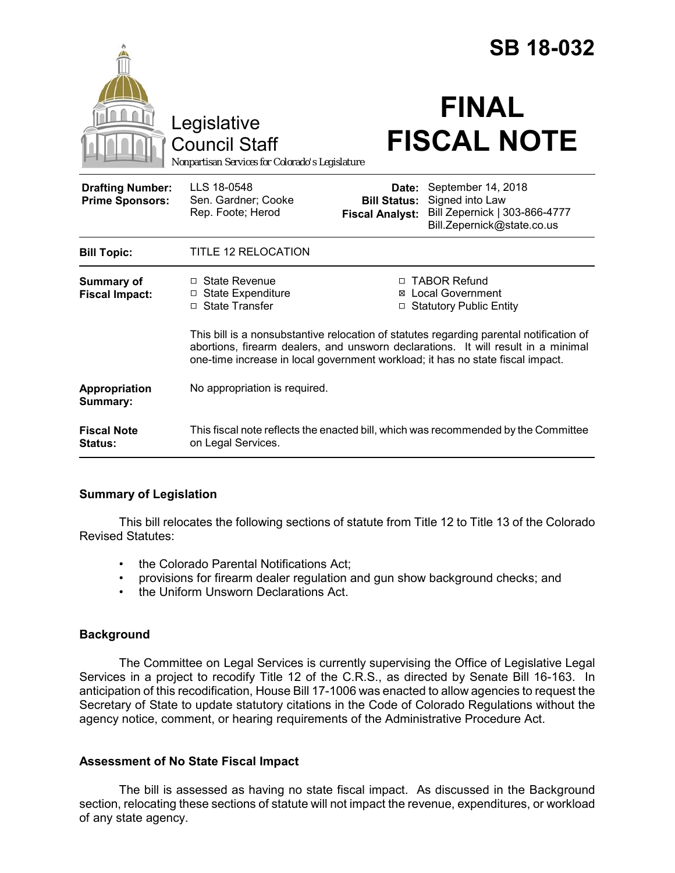|                                                                                                               |                                                                                                                                                                                                                                                                |                                                        | <b>SB 18-032</b>                                                                                     |  |
|---------------------------------------------------------------------------------------------------------------|----------------------------------------------------------------------------------------------------------------------------------------------------------------------------------------------------------------------------------------------------------------|--------------------------------------------------------|------------------------------------------------------------------------------------------------------|--|
|                                                                                                               | Legislative<br><b>Council Staff</b><br>Nonpartisan Services for Colorado's Legislature                                                                                                                                                                         |                                                        | <b>FINAL</b><br><b>FISCAL NOTE</b>                                                                   |  |
| <b>Drafting Number:</b><br><b>Prime Sponsors:</b>                                                             | LLS 18-0548<br>Sen. Gardner; Cooke<br>Rep. Foote; Herod                                                                                                                                                                                                        | Date:<br><b>Bill Status:</b><br><b>Fiscal Analyst:</b> | September 14, 2018<br>Signed into Law<br>Bill Zepernick   303-866-4777<br>Bill.Zepernick@state.co.us |  |
| <b>Bill Topic:</b>                                                                                            | <b>TITLE 12 RELOCATION</b>                                                                                                                                                                                                                                     |                                                        |                                                                                                      |  |
| <b>Summary of</b><br>$\Box$ State Revenue<br>□ State Expenditure<br><b>Fiscal Impact:</b><br>□ State Transfer |                                                                                                                                                                                                                                                                | ⊠<br>□                                                 | □ TABOR Refund<br><b>Local Government</b><br><b>Statutory Public Entity</b>                          |  |
|                                                                                                               | This bill is a nonsubstantive relocation of statutes regarding parental notification of<br>abortions, firearm dealers, and unsworn declarations. It will result in a minimal<br>one-time increase in local government workload; it has no state fiscal impact. |                                                        |                                                                                                      |  |
| Appropriation<br>Summary:                                                                                     | No appropriation is required.                                                                                                                                                                                                                                  |                                                        |                                                                                                      |  |
| <b>Fiscal Note</b><br>Status:                                                                                 | This fiscal note reflects the enacted bill, which was recommended by the Committee<br>on Legal Services.                                                                                                                                                       |                                                        |                                                                                                      |  |

### **Summary of Legislation**

This bill relocates the following sections of statute from Title 12 to Title 13 of the Colorado Revised Statutes:

- the Colorado Parental Notifications Act;
- provisions for firearm dealer regulation and gun show background checks; and
- the Uniform Unsworn Declarations Act.

# **Background**

The Committee on Legal Services is currently supervising the Office of Legislative Legal Services in a project to recodify Title 12 of the C.R.S., as directed by Senate Bill 16-163. In anticipation of this recodification, House Bill 17-1006 was enacted to allow agencies to request the Secretary of State to update statutory citations in the Code of Colorado Regulations without the agency notice, comment, or hearing requirements of the Administrative Procedure Act.

# **Assessment of No State Fiscal Impact**

The bill is assessed as having no state fiscal impact. As discussed in the Background section, relocating these sections of statute will not impact the revenue, expenditures, or workload of any state agency.